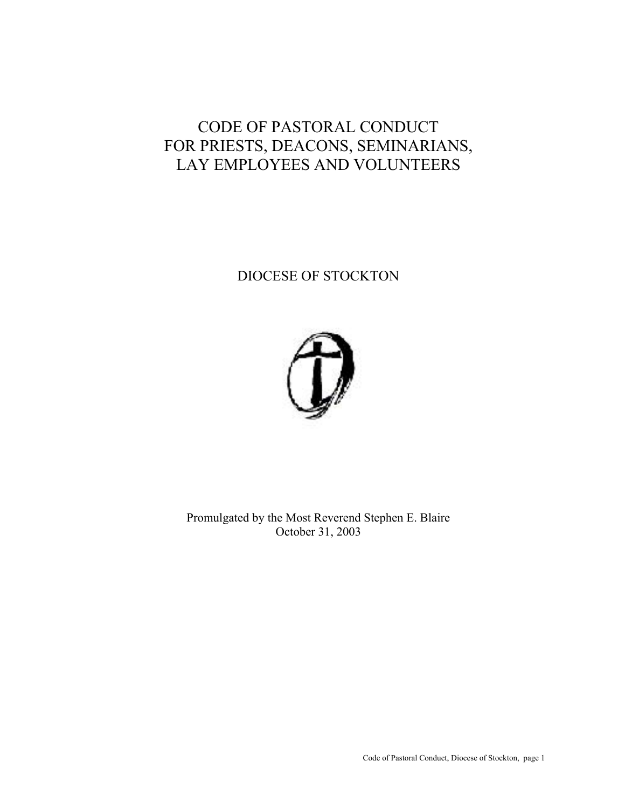# CODE OF PASTORAL CONDUCT FOR PRIESTS, DEACONS, SEMINARIANS, LAY EMPLOYEES AND VOLUNTEERS

## DIOCESE OF STOCKTON



Promulgated by the Most Reverend Stephen E. Blaire October 31, 2003

Code of Pastoral Conduct, Diocese of Stockton, page 1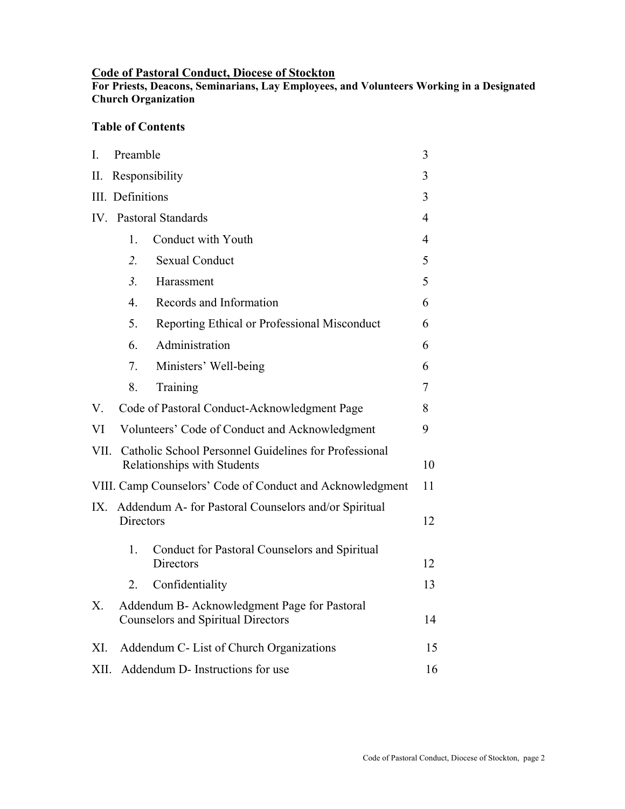#### **Code of Pastoral Conduct, Diocese of Stockton**

**For Priests, Deacons, Seminarians, Lay Employees, and Volunteers Working in a Designated Church Organization**

## **Table of Contents**

| I.          | Preamble                                                                                  |                                                                   | 3      |
|-------------|-------------------------------------------------------------------------------------------|-------------------------------------------------------------------|--------|
| II.         | Responsibility                                                                            |                                                                   | 3      |
|             | III. Definitions                                                                          |                                                                   | 3      |
| $IV_{-}$    | <b>Pastoral Standards</b>                                                                 |                                                                   | 4      |
|             | 1.                                                                                        | Conduct with Youth                                                | 4      |
|             | $\overline{2}$ .                                                                          | <b>Sexual Conduct</b>                                             | 5      |
|             | 3 <sub>1</sub>                                                                            | Harassment                                                        | 5      |
|             | $\overline{4}$ .                                                                          | Records and Information                                           | 6      |
|             | 5.                                                                                        | Reporting Ethical or Professional Misconduct                      | 6      |
|             | 6.                                                                                        | Administration                                                    | 6      |
|             | 7.                                                                                        | Ministers' Well-being                                             | 6      |
|             | 8.                                                                                        | Training                                                          | $\tau$ |
| $V_{\cdot}$ | Code of Pastoral Conduct-Acknowledgment Page                                              |                                                                   | 8      |
| VI          | Volunteers' Code of Conduct and Acknowledgment                                            |                                                                   | 9      |
| VII.        | Catholic School Personnel Guidelines for Professional<br>Relationships with Students      |                                                                   |        |
|             | VIII. Camp Counselors' Code of Conduct and Acknowledgment                                 |                                                                   |        |
| IX.         | Addendum A- for Pastoral Counselors and/or Spiritual<br><b>Directors</b>                  |                                                                   | 12     |
|             | 1.                                                                                        | Conduct for Pastoral Counselors and Spiritual<br><b>Directors</b> | 12     |
|             | 2                                                                                         | Confidentiality                                                   | 13     |
| Х.          | Addendum B- Acknowledgment Page for Pastoral<br><b>Counselors and Spiritual Directors</b> |                                                                   | 14     |
| XI.         | Addendum C- List of Church Organizations                                                  |                                                                   | 15     |
| XII.        | Addendum D- Instructions for use                                                          |                                                                   | 16     |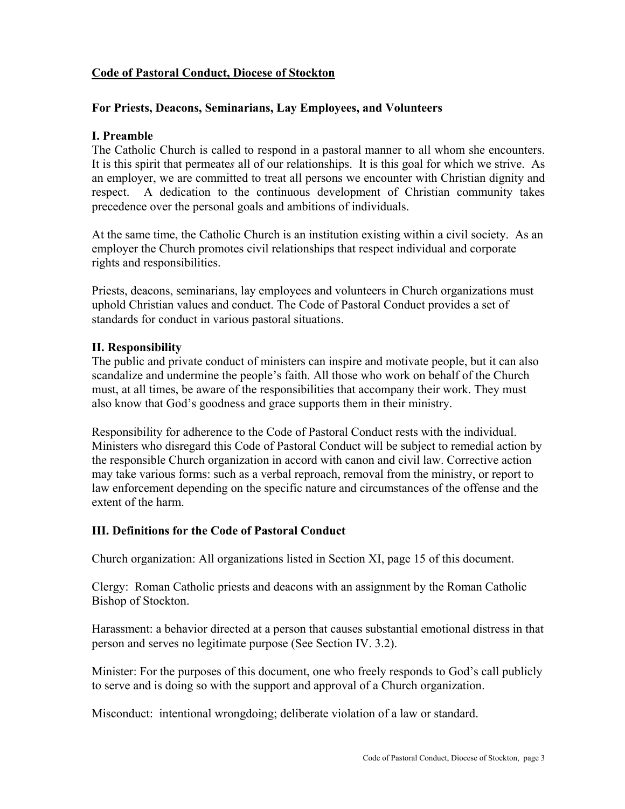## **Code of Pastoral Conduct, Diocese of Stockton**

#### **For Priests, Deacons, Seminarians, Lay Employees, and Volunteers**

#### **I. Preamble**

The Catholic Church is called to respond in a pastoral manner to all whom she encounters. It is this spirit that permeate*s* all of our relationships. It is this goal for which we strive. As an employer, we are committed to treat all persons we encounter with Christian dignity and respect. A dedication to the continuous development of Christian community takes precedence over the personal goals and ambitions of individuals.

At the same time, the Catholic Church is an institution existing within a civil society. As an employer the Church promotes civil relationships that respect individual and corporate rights and responsibilities.

Priests, deacons, seminarians, lay employees and volunteers in Church organizations must uphold Christian values and conduct. The Code of Pastoral Conduct provides a set of standards for conduct in various pastoral situations.

#### **II. Responsibility**

The public and private conduct of ministers can inspire and motivate people, but it can also scandalize and undermine the people's faith. All those who work on behalf of the Church must, at all times, be aware of the responsibilities that accompany their work. They must also know that God's goodness and grace supports them in their ministry.

Responsibility for adherence to the Code of Pastoral Conduct rests with the individual. Ministers who disregard this Code of Pastoral Conduct will be subject to remedial action by the responsible Church organization in accord with canon and civil law. Corrective action may take various forms: such as a verbal reproach, removal from the ministry, or report to law enforcement depending on the specific nature and circumstances of the offense and the extent of the harm.

## **III. Definitions for the Code of Pastoral Conduct**

Church organization: All organizations listed in Section XI, page 15 of this document.

Clergy: Roman Catholic priests and deacons with an assignment by the Roman Catholic Bishop of Stockton.

Harassment: a behavior directed at a person that causes substantial emotional distress in that person and serves no legitimate purpose (See Section IV. 3.2).

Minister: For the purposes of this document, one who freely responds to God's call publicly to serve and is doing so with the support and approval of a Church organization.

Misconduct: intentional wrongdoing; deliberate violation of a law or standard.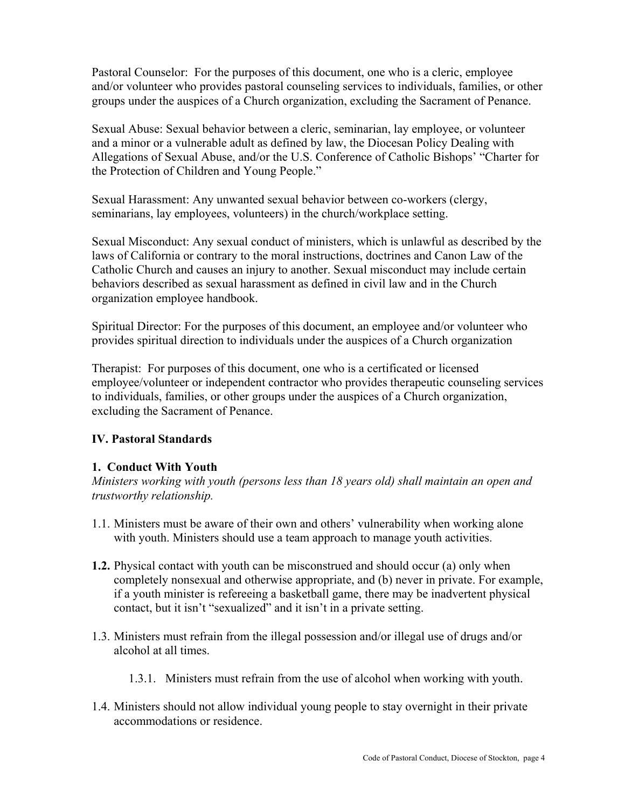Pastoral Counselor: For the purposes of this document, one who is a cleric, employee and/or volunteer who provides pastoral counseling services to individuals, families, or other groups under the auspices of a Church organization, excluding the Sacrament of Penance.

Sexual Abuse: Sexual behavior between a cleric, seminarian, lay employee, or volunteer and a minor or a vulnerable adult as defined by law, the Diocesan Policy Dealing with Allegations of Sexual Abuse, and/or the U.S. Conference of Catholic Bishops' "Charter for the Protection of Children and Young People."

Sexual Harassment: Any unwanted sexual behavior between co-workers (clergy, seminarians, lay employees, volunteers) in the church/workplace setting.

Sexual Misconduct: Any sexual conduct of ministers, which is unlawful as described by the laws of California or contrary to the moral instructions, doctrines and Canon Law of the Catholic Church and causes an injury to another. Sexual misconduct may include certain behaviors described as sexual harassment as defined in civil law and in the Church organization employee handbook.

Spiritual Director: For the purposes of this document, an employee and/or volunteer who provides spiritual direction to individuals under the auspices of a Church organization

Therapist: For purposes of this document, one who is a certificated or licensed employee/volunteer or independent contractor who provides therapeutic counseling services to individuals, families, or other groups under the auspices of a Church organization, excluding the Sacrament of Penance.

#### **IV. Pastoral Standards**

#### **1. Conduct With Youth**

*Ministers working with youth (persons less than 18 years old) shall maintain an open and trustworthy relationship.* 

- 1.1. Ministers must be aware of their own and others' vulnerability when working alone with youth. Ministers should use a team approach to manage youth activities.
- **1.2.** Physical contact with youth can be misconstrued and should occur (a) only when completely nonsexual and otherwise appropriate, and (b) never in private. For example, if a youth minister is refereeing a basketball game, there may be inadvertent physical contact, but it isn't "sexualized" and it isn't in a private setting.
- 1.3. Ministers must refrain from the illegal possession and/or illegal use of drugs and/or alcohol at all times.
	- 1.3.1. Ministers must refrain from the use of alcohol when working with youth.
- 1.4. Ministers should not allow individual young people to stay overnight in their private accommodations or residence.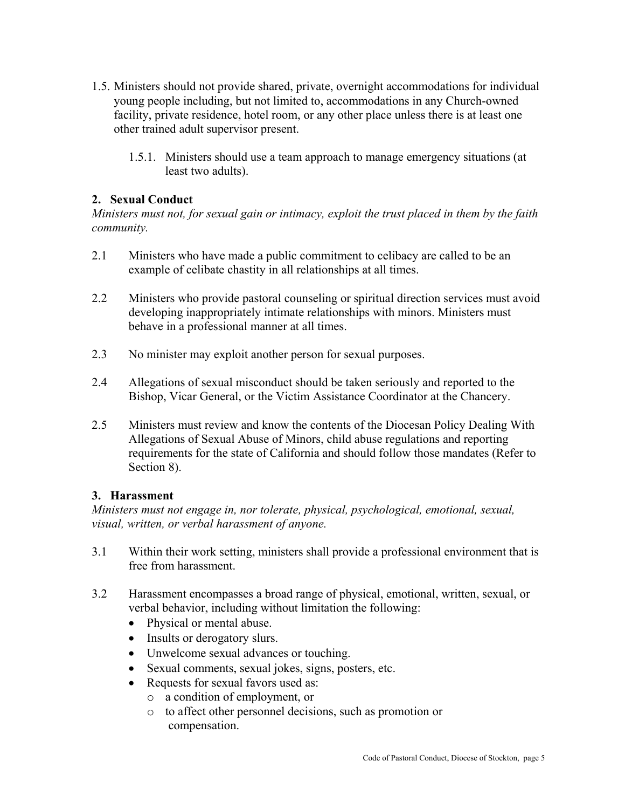- 1.5. Ministers should not provide shared, private, overnight accommodations for individual young people including, but not limited to, accommodations in any Church-owned facility, private residence, hotel room, or any other place unless there is at least one other trained adult supervisor present.
	- 1.5.1. Ministers should use a team approach to manage emergency situations (at least two adults).

## **2. Sexual Conduct**

*Ministers must not, for sexual gain or intimacy, exploit the trust placed in them by the faith community.* 

- 2.1 Ministers who have made a public commitment to celibacy are called to be an example of celibate chastity in all relationships at all times.
- 2.2 Ministers who provide pastoral counseling or spiritual direction services must avoid developing inappropriately intimate relationships with minors. Ministers must behave in a professional manner at all times.
- 2.3 No minister may exploit another person for sexual purposes.
- 2.4 Allegations of sexual misconduct should be taken seriously and reported to the Bishop, Vicar General, or the Victim Assistance Coordinator at the Chancery.
- 2.5 Ministers must review and know the contents of the Diocesan Policy Dealing With Allegations of Sexual Abuse of Minors, child abuse regulations and reporting requirements for the state of California and should follow those mandates (Refer to Section 8).

#### **3. Harassment**

*Ministers must not engage in, nor tolerate, physical, psychological, emotional, sexual, visual, written, or verbal harassment of anyone.* 

- 3.1 Within their work setting, ministers shall provide a professional environment that is free from harassment.
- 3.2 Harassment encompasses a broad range of physical, emotional, written, sexual, or verbal behavior, including without limitation the following:
	- Physical or mental abuse.
	- Insults or derogatory slurs.
	- Unwelcome sexual advances or touching.
	- Sexual comments, sexual jokes, signs, posters, etc.
	- Requests for sexual favors used as:
		- o a condition of employment, or
		- o to affect other personnel decisions, such as promotion or compensation.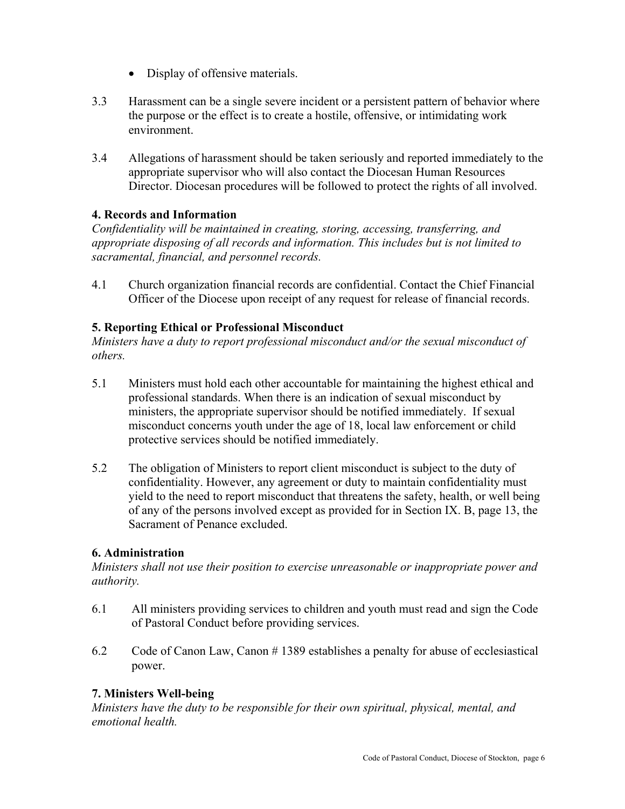- Display of offensive materials.
- 3.3 Harassment can be a single severe incident or a persistent pattern of behavior where the purpose or the effect is to create a hostile, offensive, or intimidating work environment.
- 3.4 Allegations of harassment should be taken seriously and reported immediately to the appropriate supervisor who will also contact the Diocesan Human Resources Director. Diocesan procedures will be followed to protect the rights of all involved.

#### **4. Records and Information**

*Confidentiality will be maintained in creating, storing, accessing, transferring, and appropriate disposing of all records and information. This includes but is not limited to sacramental, financial, and personnel records.* 

4.1 Church organization financial records are confidential. Contact the Chief Financial Officer of the Diocese upon receipt of any request for release of financial records.

## **5. Reporting Ethical or Professional Misconduct**

*Ministers have a duty to report professional misconduct and/or the sexual misconduct of others.* 

- 5.1 Ministers must hold each other accountable for maintaining the highest ethical and professional standards. When there is an indication of sexual misconduct by ministers, the appropriate supervisor should be notified immediately. If sexual misconduct concerns youth under the age of 18, local law enforcement or child protective services should be notified immediately.
- 5.2 The obligation of Ministers to report client misconduct is subject to the duty of confidentiality. However, any agreement or duty to maintain confidentiality must yield to the need to report misconduct that threatens the safety, health, or well being of any of the persons involved except as provided for in Section IX. B, page 13, the Sacrament of Penance excluded.

#### **6. Administration**

*Ministers shall not use their position to exercise unreasonable or inappropriate power and authority.* 

- 6.1 All ministers providing services to children and youth must read and sign the Code of Pastoral Conduct before providing services.
- 6.2 Code of Canon Law, Canon # 1389 establishes a penalty for abuse of ecclesiastical power.

#### **7. Ministers Well-being**

*Ministers have the duty to be responsible for their own spiritual, physical, mental, and emotional health.*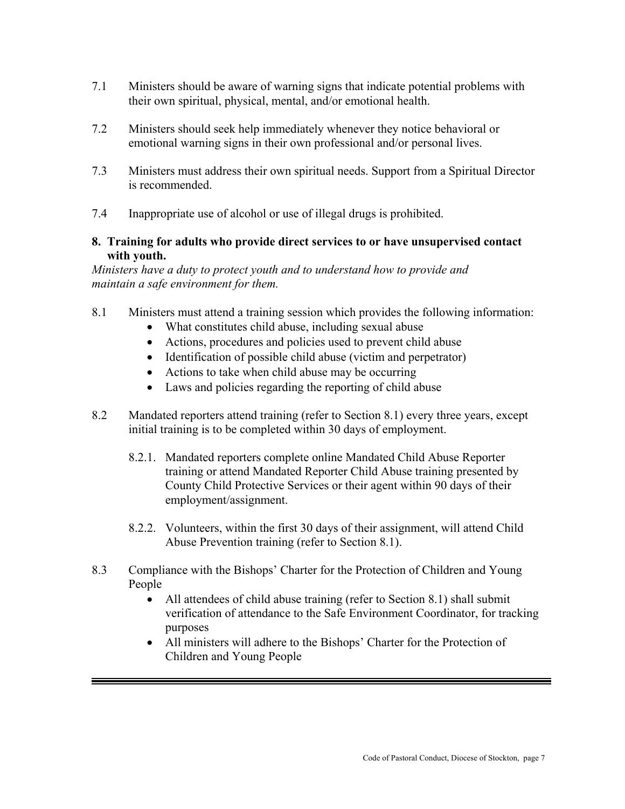- 7.1 Ministers should be aware of warning signs that indicate potential problems with their own spiritual, physical, mental, and/or emotional health.
- 7.2 Ministers should seek help immediately whenever they notice behavioral or emotional warning signs in their own professional and/or personal lives.
- 7.3 Ministers must address their own spiritual needs. Support from a Spiritual Director is recommended.
- 7.4 Inappropriate use of alcohol or use of illegal drugs is prohibited.

## **8. Training for adults who provide direct services to or have unsupervised contact with youth.**

*Ministers have a duty to protect youth and to understand how to provide and maintain a safe environment for them.* 

- 8.1 Ministers must attend a training session which provides the following information:
	- What constitutes child abuse, including sexual abuse
	- Actions, procedures and policies used to prevent child abuse
	- Identification of possible child abuse (victim and perpetrator)
	- Actions to take when child abuse may be occurring
	- Laws and policies regarding the reporting of child abuse
- 8.2 Mandated reporters attend training (refer to Section 8.1) every three years, except initial training is to be completed within 30 days of employment.
	- 8.2.1. Mandated reporters complete online Mandated Child Abuse Reporter training or attend Mandated Reporter Child Abuse training presented by County Child Protective Services or their agent within 90 days of their employment/assignment.
	- 8.2.2. Volunteers, within the first 30 days of their assignment, will attend Child Abuse Prevention training (refer to Section 8.1).
- 8.3 Compliance with the Bishops' Charter for the Protection of Children and Young People
	- All attendees of child abuse training (refer to Section 8.1) shall submit verification of attendance to the Safe Environment Coordinator, for tracking purposes
	- All ministers will adhere to the Bishops' Charter for the Protection of Children and Young People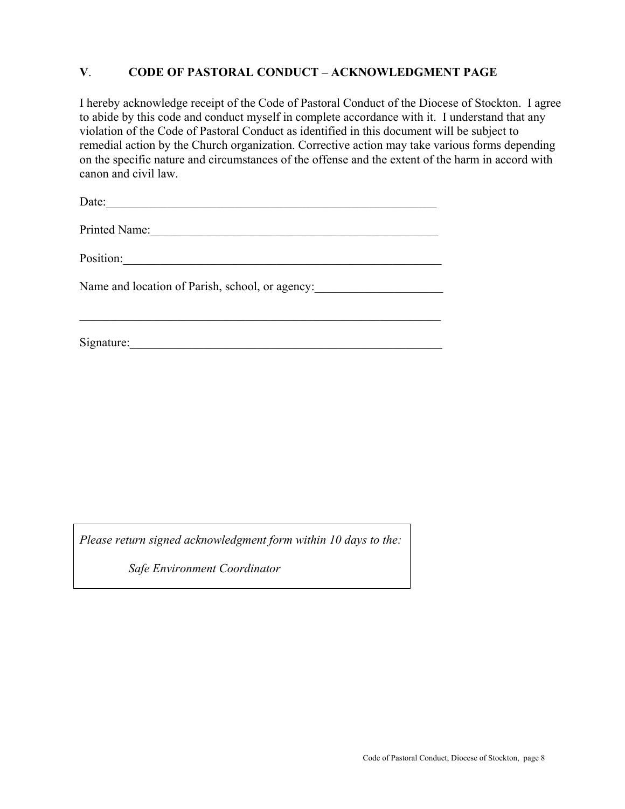#### **V**. **CODE OF PASTORAL CONDUCT – ACKNOWLEDGMENT PAGE**

I hereby acknowledge receipt of the Code of Pastoral Conduct of the Diocese of Stockton. I agree to abide by this code and conduct myself in complete accordance with it. I understand that any violation of the Code of Pastoral Conduct as identified in this document will be subject to remedial action by the Church organization. Corrective action may take various forms depending on the specific nature and circumstances of the offense and the extent of the harm in accord with canon and civil law.

Date:

Printed Name:

Position:\_\_\_\_\_\_\_\_\_\_\_\_\_\_\_\_\_\_\_\_\_\_\_\_\_\_\_\_\_\_\_\_\_\_\_\_\_\_\_\_\_\_\_\_\_\_\_\_\_\_\_\_

Name and location of Parish, school, or agency:

 $\mathcal{L}_\text{max}$  and the contract of the contract of the contract of the contract of the contract of the contract of

Signature:

*Please return signed acknowledgment form within 10 days to the:* 

*Safe Environment Coordinator*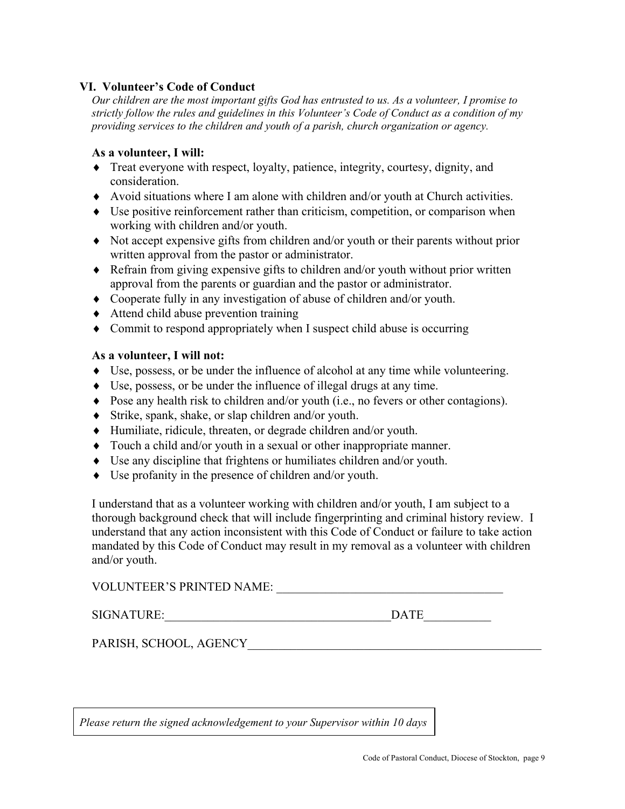#### **VI. Volunteer's Code of Conduct**

*Our children are the most important gifts God has entrusted to us. As a volunteer, I promise to strictly follow the rules and guidelines in this Volunteer's Code of Conduct as a condition of my providing services to the children and youth of a parish, church organization or agency.* 

#### **As a volunteer, I will:**

- ♦ Treat everyone with respect, loyalty, patience, integrity, courtesy, dignity, and consideration.
- ♦ Avoid situations where I am alone with children and/or youth at Church activities.
- ♦ Use positive reinforcement rather than criticism, competition, or comparison when working with children and/or youth.
- ♦ Not accept expensive gifts from children and/or youth or their parents without prior written approval from the pastor or administrator.
- ♦ Refrain from giving expensive gifts to children and/or youth without prior written approval from the parents or guardian and the pastor or administrator.
- ♦ Cooperate fully in any investigation of abuse of children and/or youth.
- ♦ Attend child abuse prevention training
- ♦ Commit to respond appropriately when I suspect child abuse is occurring

#### **As a volunteer, I will not:**

- ♦ Use, possess, or be under the influence of alcohol at any time while volunteering.
- ♦ Use, possess, or be under the influence of illegal drugs at any time.
- ♦ Pose any health risk to children and/or youth (i.e., no fevers or other contagions).
- ♦ Strike, spank, shake, or slap children and/or youth.
- ♦ Humiliate, ridicule, threaten, or degrade children and/or youth.
- ♦ Touch a child and/or youth in a sexual or other inappropriate manner.
- ♦ Use any discipline that frightens or humiliates children and/or youth.
- ♦ Use profanity in the presence of children and/or youth.

I understand that as a volunteer working with children and/or youth, I am subject to a thorough background check that will include fingerprinting and criminal history review. I understand that any action inconsistent with this Code of Conduct or failure to take action mandated by this Code of Conduct may result in my removal as a volunteer with children and/or youth.

VOLUNTEER'S PRINTED NAME:

 $\text{DATE}$ 

PARISH, SCHOOL, AGENCY

*Please return the signed acknowledgement to your Supervisor within 10 days*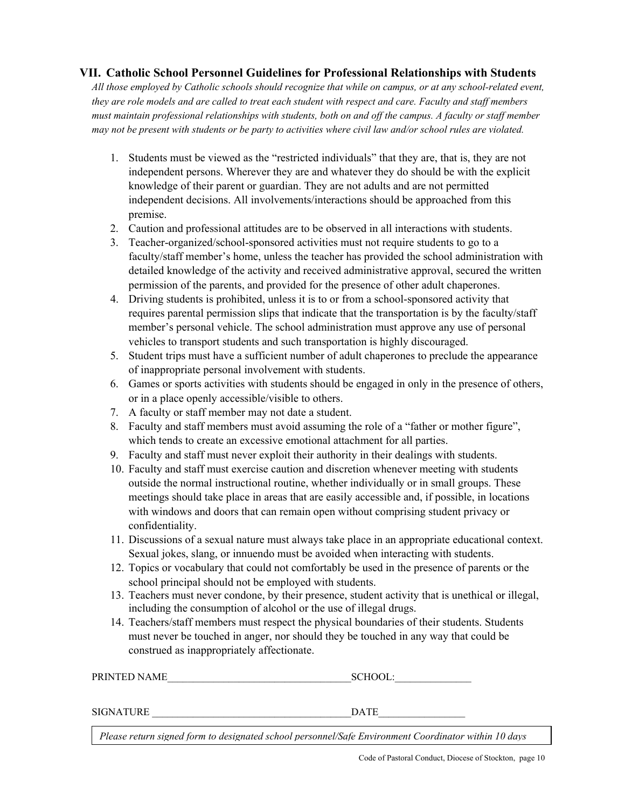## **VII. Catholic School Personnel Guidelines for Professional Relationships with Students**

*All those employed by Catholic schools should recognize that while on campus, or at any school-related event, they are role models and are called to treat each student with respect and care. Faculty and staff members must maintain professional relationships with students, both on and off the campus. A faculty or staff member may not be present with students or be party to activities where civil law and/or school rules are violated.* 

- 1. Students must be viewed as the "restricted individuals" that they are, that is, they are not independent persons. Wherever they are and whatever they do should be with the explicit knowledge of their parent or guardian. They are not adults and are not permitted independent decisions. All involvements/interactions should be approached from this premise.
- 2. Caution and professional attitudes are to be observed in all interactions with students.
- 3. Teacher-organized/school-sponsored activities must not require students to go to a faculty/staff member's home, unless the teacher has provided the school administration with detailed knowledge of the activity and received administrative approval, secured the written permission of the parents, and provided for the presence of other adult chaperones.
- 4. Driving students is prohibited, unless it is to or from a school-sponsored activity that requires parental permission slips that indicate that the transportation is by the faculty/staff member's personal vehicle. The school administration must approve any use of personal vehicles to transport students and such transportation is highly discouraged.
- 5. Student trips must have a sufficient number of adult chaperones to preclude the appearance of inappropriate personal involvement with students.
- 6. Games or sports activities with students should be engaged in only in the presence of others, or in a place openly accessible/visible to others.
- 7. A faculty or staff member may not date a student.
- 8. Faculty and staff members must avoid assuming the role of a "father or mother figure", which tends to create an excessive emotional attachment for all parties.
- 9. Faculty and staff must never exploit their authority in their dealings with students.
- 10. Faculty and staff must exercise caution and discretion whenever meeting with students outside the normal instructional routine, whether individually or in small groups. These meetings should take place in areas that are easily accessible and, if possible, in locations with windows and doors that can remain open without comprising student privacy or confidentiality.
- 11. Discussions of a sexual nature must always take place in an appropriate educational context. Sexual jokes, slang, or innuendo must be avoided when interacting with students.
- 12. Topics or vocabulary that could not comfortably be used in the presence of parents or the school principal should not be employed with students.
- 13. Teachers must never condone, by their presence, student activity that is unethical or illegal, including the consumption of alcohol or the use of illegal drugs.
- 14. Teachers/staff members must respect the physical boundaries of their students. Students must never be touched in anger, nor should they be touched in any way that could be construed as inappropriately affectionate.

PRINTED NAME SCHOOL:

SIGNATURE  $\Box$ 

*Please return signed form to designated school personnel/Safe Environment Coordinator within 10 days*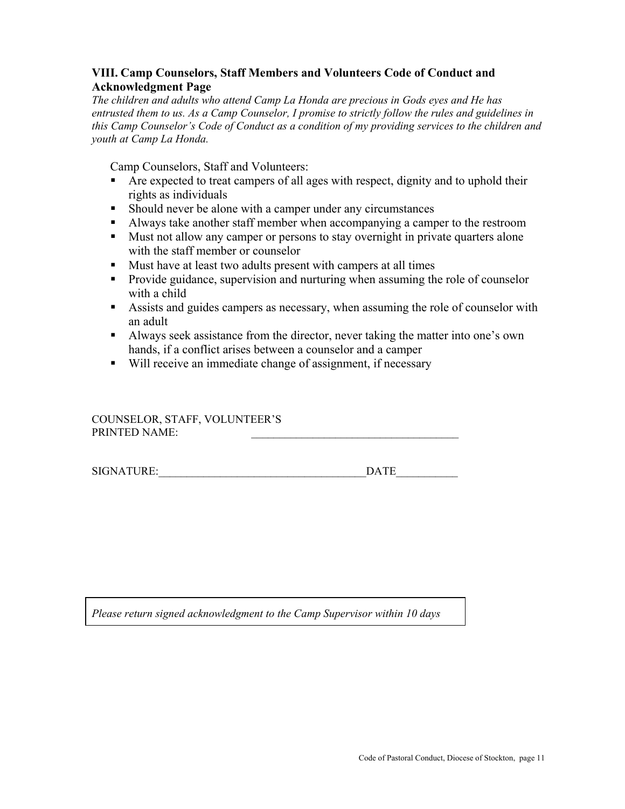## **VIII. Camp Counselors, Staff Members and Volunteers Code of Conduct and Acknowledgment Page**

*The children and adults who attend Camp La Honda are precious in Gods eyes and He has entrusted them to us. As a Camp Counselor, I promise to strictly follow the rules and guidelines in this Camp Counselor's Code of Conduct as a condition of my providing services to the children and youth at Camp La Honda.* 

Camp Counselors, Staff and Volunteers:

- Are expected to treat campers of all ages with respect, dignity and to uphold their rights as individuals
- Should never be alone with a camper under any circumstances
- Always take another staff member when accompanying a camper to the restroom
- Must not allow any camper or persons to stay overnight in private quarters alone with the staff member or counselor
- Must have at least two adults present with campers at all times
- **Provide guidance, supervision and nurturing when assuming the role of counselor** with a child
- Assists and guides campers as necessary, when assuming the role of counselor with an adult
- Always seek assistance from the director, never taking the matter into one's own hands, if a conflict arises between a counselor and a camper
- Will receive an immediate change of assignment, if necessary

COUNSELOR, STAFF, VOLUNTEER'S PRINTED NAME:

SIGNATURE:\_\_\_\_\_\_\_\_\_\_\_\_\_\_\_\_\_\_\_\_\_\_\_\_\_\_\_\_\_\_\_\_\_\_\_\_\_DATE\_\_\_\_\_\_\_\_\_\_\_

*Please return signed acknowledgment to the Camp Supervisor within 10 days*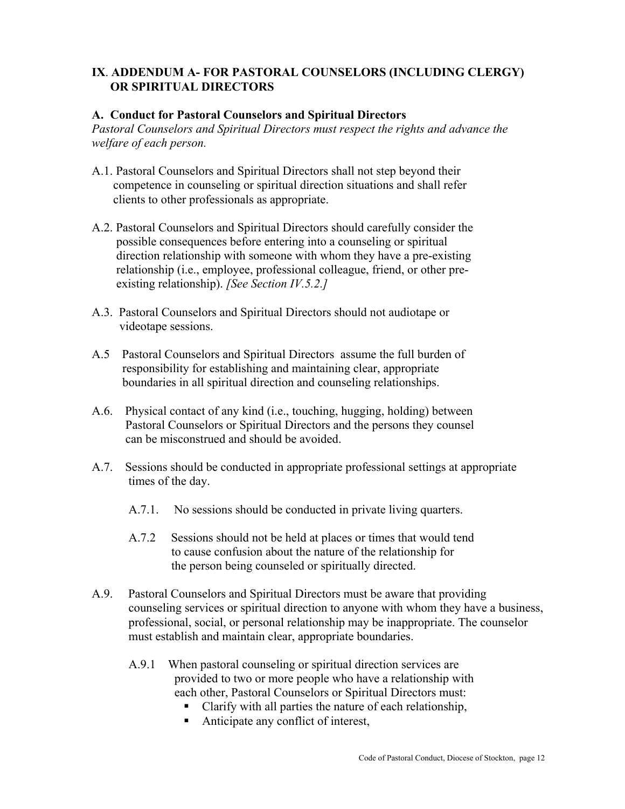## **IX**. **ADDENDUM A- FOR PASTORAL COUNSELORS (INCLUDING CLERGY) OR SPIRITUAL DIRECTORS**

#### **A. Conduct for Pastoral Counselors and Spiritual Directors**

*Pastoral Counselors and Spiritual Directors must respect the rights and advance the welfare of each person.* 

- A.1. Pastoral Counselors and Spiritual Directors shall not step beyond their competence in counseling or spiritual direction situations and shall refer clients to other professionals as appropriate.
- A.2. Pastoral Counselors and Spiritual Directors should carefully consider the possible consequences before entering into a counseling or spiritual direction relationship with someone with whom they have a pre-existing relationship (i.e., employee, professional colleague, friend, or other pre existing relationship). *[See Section IV.5.2.]*
- A.3. Pastoral Counselors and Spiritual Directors should not audiotape or videotape sessions.
- A.5 Pastoral Counselors and Spiritual Directors assume the full burden of responsibility for establishing and maintaining clear, appropriate boundaries in all spiritual direction and counseling relationships.
- A.6. Physical contact of any kind (i.e., touching, hugging, holding) between Pastoral Counselors or Spiritual Directors and the persons they counsel can be misconstrued and should be avoided.
- A.7. Sessions should be conducted in appropriate professional settings at appropriate times of the day.
	- A.7.1. No sessions should be conducted in private living quarters.
	- A.7.2 Sessions should not be held at places or times that would tend to cause confusion about the nature of the relationship for the person being counseled or spiritually directed.
- A.9. Pastoral Counselors and Spiritual Directors must be aware that providing counseling services or spiritual direction to anyone with whom they have a business, professional, social, or personal relationship may be inappropriate. The counselor must establish and maintain clear, appropriate boundaries.
	- A.9.1 When pastoral counseling or spiritual direction services are provided to two or more people who have a relationship with each other, Pastoral Counselors or Spiritual Directors must:
		- Clarify with all parties the nature of each relationship,
		- Anticipate any conflict of interest,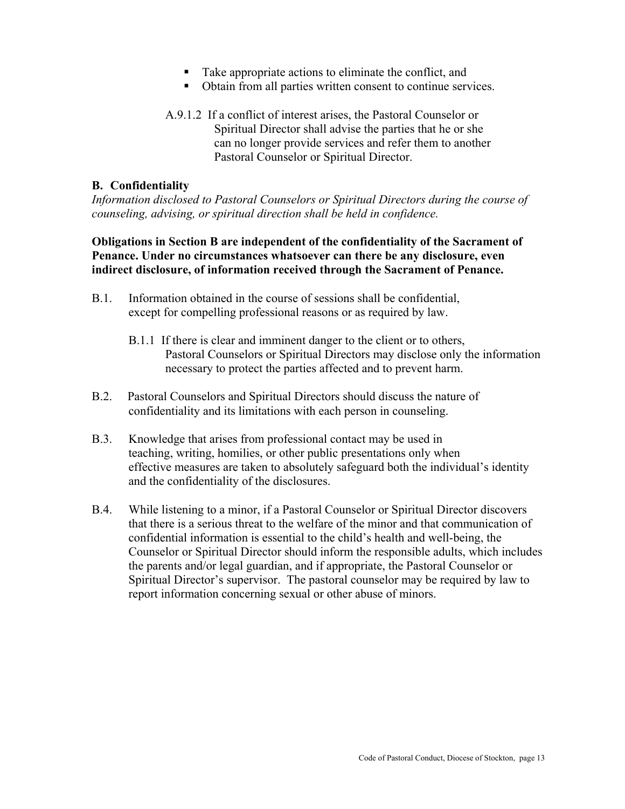- Take appropriate actions to eliminate the conflict, and
- Obtain from all parties written consent to continue services.
- A.9.1.2 If a conflict of interest arises, the Pastoral Counselor or Spiritual Director shall advise the parties that he or she can no longer provide services and refer them to another Pastoral Counselor or Spiritual Director.

#### **B. Confidentiality**

*Information disclosed to Pastoral Counselors or Spiritual Directors during the course of counseling, advising, or spiritual direction shall be held in confidence.* 

**Obligations in Section B are independent of the confidentiality of the Sacrament of Penance. Under no circumstances whatsoever can there be any disclosure, even indirect disclosure, of information received through the Sacrament of Penance.** 

- B.1. Information obtained in the course of sessions shall be confidential, except for compelling professional reasons or as required by law.
	- B.1.1 If there is clear and imminent danger to the client or to others, Pastoral Counselors or Spiritual Directors may disclose only the information necessary to protect the parties affected and to prevent harm.
- B.2. Pastoral Counselors and Spiritual Directors should discuss the nature of confidentiality and its limitations with each person in counseling.
- B.3. Knowledge that arises from professional contact may be used in teaching, writing, homilies, or other public presentations only when effective measures are taken to absolutely safeguard both the individual's identity and the confidentiality of the disclosures.
- B.4. While listening to a minor, if a Pastoral Counselor or Spiritual Director discovers that there is a serious threat to the welfare of the minor and that communication of confidential information is essential to the child's health and well-being, the Counselor or Spiritual Director should inform the responsible adults, which includes the parents and/or legal guardian, and if appropriate, the Pastoral Counselor or Spiritual Director's supervisor. The pastoral counselor may be required by law to report information concerning sexual or other abuse of minors.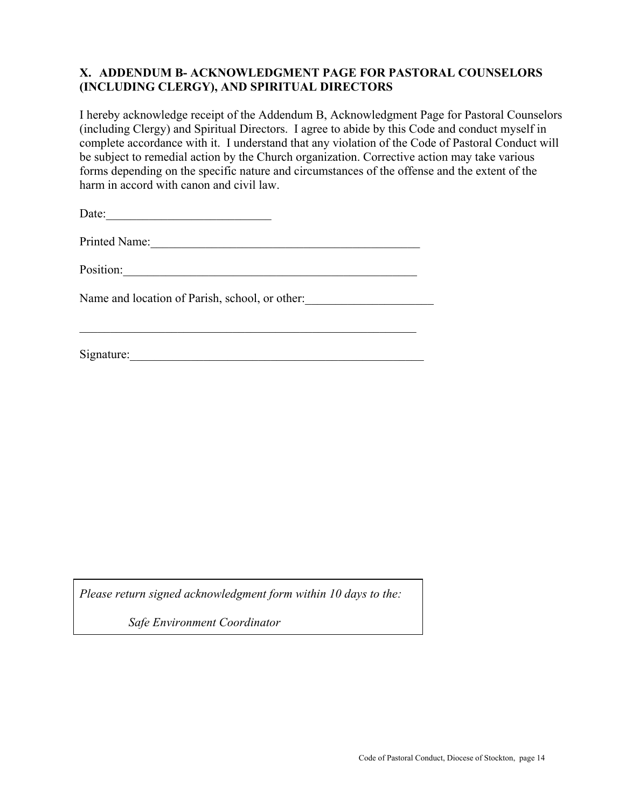#### **X. ADDENDUM B- ACKNOWLEDGMENT PAGE FOR PASTORAL COUNSELORS (INCLUDING CLERGY), AND SPIRITUAL DIRECTORS**

I hereby acknowledge receipt of the Addendum B, Acknowledgment Page for Pastoral Counselors (including Clergy) and Spiritual Directors. I agree to abide by this Code and conduct myself in complete accordance with it. I understand that any violation of the Code of Pastoral Conduct will be subject to remedial action by the Church organization. Corrective action may take various forms depending on the specific nature and circumstances of the offense and the extent of the harm in accord with canon and civil law.

Date:\_\_\_\_\_\_\_\_\_\_\_\_\_\_\_\_\_\_\_\_\_\_\_\_\_\_\_

Printed Name:\_\_\_\_\_\_\_\_\_\_\_\_\_\_\_\_\_\_\_\_\_\_\_\_\_\_\_\_\_\_\_\_\_\_\_\_\_\_\_\_\_\_\_\_

 $\mathcal{L}_\text{max}$  , and the contribution of the contribution of the contribution of the contribution of the contribution of the contribution of the contribution of the contribution of the contribution of the contribution of t

Position:

Name and location of Parish, school, or other:

Signature:

*Please return signed acknowledgment form within 10 days to the:* 

*Safe Environment Coordinator*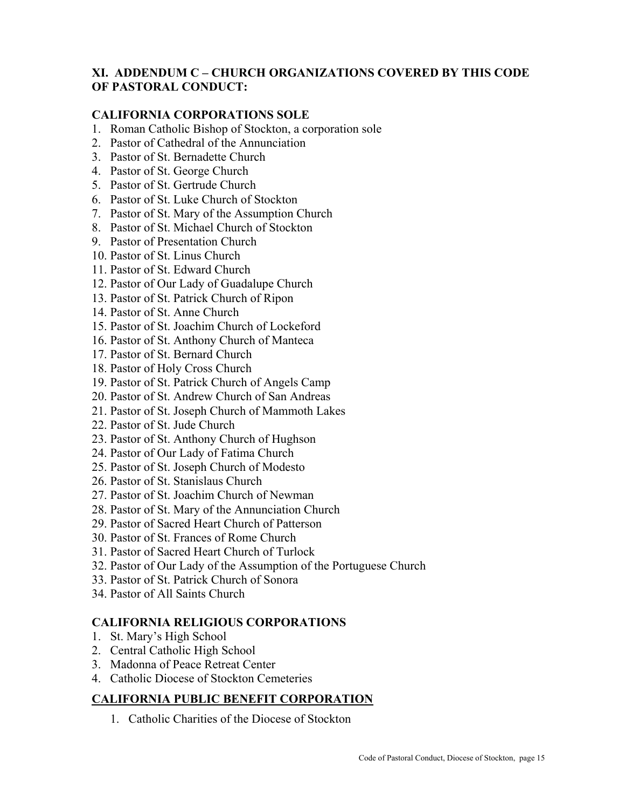## **XI. ADDENDUM C – CHURCH ORGANIZATIONS COVERED BY THIS CODE OF PASTORAL CONDUCT:**

## **CALIFORNIA CORPORATIONS SOLE**

- 1. Roman Catholic Bishop of Stockton, a corporation sole
- 2. Pastor of Cathedral of the Annunciation
- 3. Pastor of St. Bernadette Church
- 4. Pastor of St. George Church
- 5. Pastor of St. Gertrude Church
- 6. Pastor of St. Luke Church of Stockton
- 7. Pastor of St. Mary of the Assumption Church
- 8. Pastor of St. Michael Church of Stockton
- 9. Pastor of Presentation Church
- 10. Pastor of St. Linus Church
- 11. Pastor of St. Edward Church
- 12. Pastor of Our Lady of Guadalupe Church
- 13. Pastor of St. Patrick Church of Ripon
- 14. Pastor of St. Anne Church
- 15. Pastor of St. Joachim Church of Lockeford
- 16. Pastor of St. Anthony Church of Manteca
- 17. Pastor of St. Bernard Church
- 18. Pastor of Holy Cross Church
- 19. Pastor of St. Patrick Church of Angels Camp
- 20. Pastor of St. Andrew Church of San Andreas
- 21. Pastor of St. Joseph Church of Mammoth Lakes
- 22. Pastor of St. Jude Church
- 23. Pastor of St. Anthony Church of Hughson
- 24. Pastor of Our Lady of Fatima Church
- 25. Pastor of St. Joseph Church of Modesto
- 26. Pastor of St. Stanislaus Church
- 27. Pastor of St. Joachim Church of Newman
- 28. Pastor of St. Mary of the Annunciation Church
- 29. Pastor of Sacred Heart Church of Patterson
- 30. Pastor of St. Frances of Rome Church
- 31. Pastor of Sacred Heart Church of Turlock
- 32. Pastor of Our Lady of the Assumption of the Portuguese Church
- 33. Pastor of St. Patrick Church of Sonora
- 34. Pastor of All Saints Church

#### **CALIFORNIA RELIGIOUS CORPORATIONS**

- 1. St. Mary's High School
- 2. Central Catholic High School
- 3. Madonna of Peace Retreat Center
- 4. Catholic Diocese of Stockton Cemeteries

## **CALIFORNIA PUBLIC BENEFIT CORPORATION**

1. Catholic Charities of the Diocese of Stockton